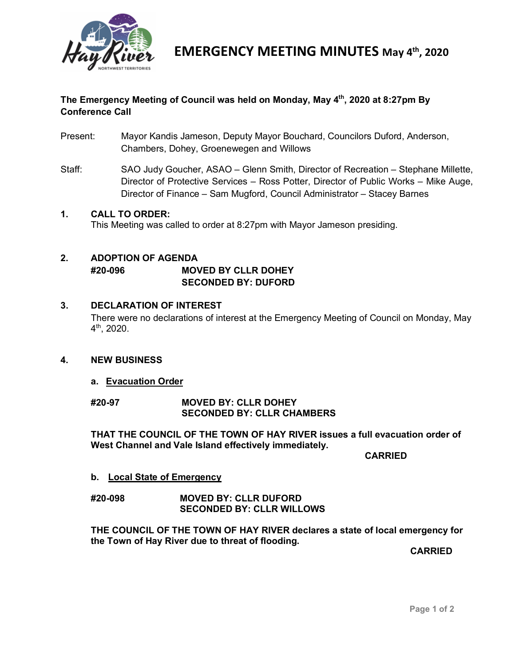

# **The Emergency Meeting of Council was held on Monday, May 4th, 2020 at 8:27pm By Conference Call**

- Present: Mayor Kandis Jameson, Deputy Mayor Bouchard, Councilors Duford, Anderson, Chambers, Dohey, Groenewegen and Willows
- Staff: SAO Judy Goucher, ASAO Glenn Smith, Director of Recreation Stephane Millette, Director of Protective Services – Ross Potter, Director of Public Works – Mike Auge, Director of Finance – Sam Mugford, Council Administrator – Stacey Barnes

#### **1. CALL TO ORDER:**

This Meeting was called to order at 8:27pm with Mayor Jameson presiding.

# **2. ADOPTION OF AGENDA**

**#20-096 MOVED BY CLLR DOHEY SECONDED BY: DUFORD**

### **3. DECLARATION OF INTEREST**

There were no declarations of interest at the Emergency Meeting of Council on Monday, May 4th, 2020.

# **4. NEW BUSINESS**

#### **a. Evacuation Order**

**#20-97 MOVED BY: CLLR DOHEY SECONDED BY: CLLR CHAMBERS**

**THAT THE COUNCIL OF THE TOWN OF HAY RIVER issues a full evacuation order of West Channel and Vale Island effectively immediately.** 

**CARRIED**

**b. Local State of Emergency** 

#### **#20-098 MOVED BY: CLLR DUFORD SECONDED BY: CLLR WILLOWS**

**THE COUNCIL OF THE TOWN OF HAY RIVER declares a state of local emergency for the Town of Hay River due to threat of flooding.** 

**CARRIED**